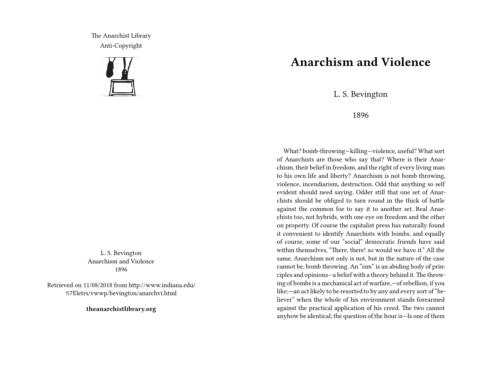The Anarchist Library Anti-Copyright



L. S. Bevington Anarchism and Violence 1896

Retrieved on 11/08/2018 from http://www.indiana.edu/ %7Eletrs/vwwp/bevington/anarchvi.html

**theanarchistlibrary.org**

## **Anarchism and Violence**

L. S. Bevington

1896

What? bomb‐throwing—killing—violence, useful? What sort of Anarchists are those who say that? Where is their Anarchism, their belief in freedom, and the right of every living man to his own life and liberty? Anarchism is not bomb throwing, violence, incendiarism, destruction. Odd that anything so self evident should need saying. Odder still that one set of Anarchists should be obliged to turn round in the thick of battle against the common foe to say it to another set. Real Anarchists too, not hybrids, with one eye on freedom and the other on property. Of course the capitalist press has naturally found it convenient to identify Anarchists with bombs, and equally of course, some of our "social" democratic friends have said within themselves, "There, there! so would we have it." All the same, Anarchism not only is not, but in the nature of the case cannot be, bomb throwing. An "ism" is an abiding body of principles and opinions—a belief with a theory behind it.The throwing of bombs is a mechanical act of warfare,—of rebellion, if you like;—an act likely to be resorted to by any and every sort of "believer" when the whole of his environment stands forearmed against the practical application of his creed. The two cannot anyhow be identical; the question of the hour is—Is one of them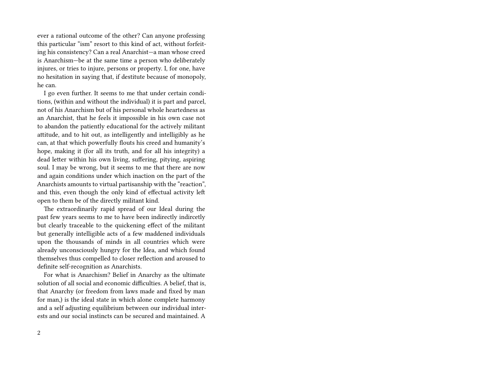ever a rational outcome of the other? Can anyone professing this particular "ism" resort to this kind of act, without forfeiting his consistency? Can a real Anarchist—a man whose creed is Anarchism—be at the same time a person who deliberately injures, or tries to injure, persons or property. I, for one, have no hesitation in saying that, if destitute because of monopoly, he can.

I go even further. It seems to me that under certain conditions, (within and without the individual) it is part and parcel, not of his Anarchism but of his personal whole heartedness as an Anarchist, that he feels it impossible in his own case not to abandon the patiently educational for the actively militant attitude, and to hit out, as intelligently and intelligibly as he can, at that which powerfully flouts his creed and humanity's hope, making it (for all its truth, and for all his integrity) a dead letter within his own living, suffering, pitying, aspiring soul. I may be wrong, but it seems to me that there are now and again conditions under which inaction on the part of the Anarchists amounts to virtual partisanship with the "reaction", and this, even though the only kind of effectual activity left open to them be of the directly militant kind.

The extraordinarily rapid spread of our Ideal during the past few years seems to me to have been indirectly indircetly but clearly traceable to the quickening effect of the militant but generally intelligible acts of a few maddened individuals upon the thousands of minds in all countries which were already unconsciously hungry for the Idea, and which found themselves thus compelled to closer reflection and aroused to definite self‐recognition as Anarchists.

For what is Anarchism? Belief in Anarchy as the ultimate solution of all social and economic difficulties. A belief, that is, that Anarchy (or freedom from laws made and fixed by man for man,) is the ideal state in which alone complete harmony and a self adjusting equilibrium between our individual interests and our social instincts can be secured and maintained. A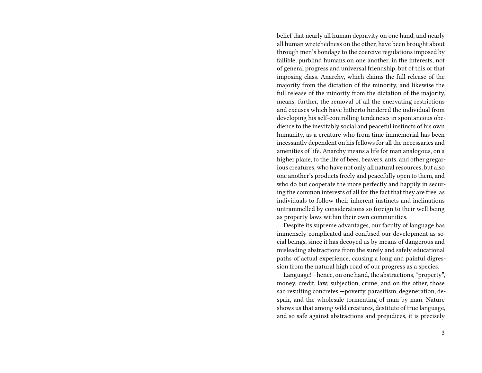belief that nearly all human depravity on one hand, and nearly all human wretchedness on the other, have been brought about through men's bondage to the coercive regulations imposed by fallible, purblind humans on one another, in the interests, not of general progress and universal friendship, but of this or that imposing class. Anarchy, which claims the full release of the majority from the dictation of the minority, and likewise the full release of the minority from the dictation of the majority, means, further, the removal of all the enervating restrictions and excuses which have hitherto hindered the individual from developing his self‐controlling tendencies in spontaneous obedience to the inevitably social and peaceful instincts of his own humanity, as a creature who from time immemorial has been incessantly dependent on his fellows for all the necessaries and amenities of life. Anarchy means a life for man analogous, on a higher plane, to the life of bees, beavers, ants, and other gregarious creatures, who have not only all natural resources, but also one another's products freely and peacefully open to them, and who do but cooperate the more perfectly and happily in securing the common interests of all for the fact that they are free, as individuals to follow their inherent instincts and inclinations untrammelled by considerations so foreign to their well being as property laws within their own communities.

Despite its supreme advantages, our faculty of language has immensely complicated and confused our development as social beings, since it has decoyed us by means of dangerous and misleading abstractions from the surely and safely educational paths of actual experience, causing a long and painful digression from the natural high road of our progress as a species.

Language!—hence, on one hand, the abstractions, "property", money, credit, law, subjection, crime; and on the other, those sad resulting concretes,—poverty, parasitism, degeneration, despair, and the wholesale tormenting of man by man. Nature shows us that among wild creatures, destitute of true language, and so safe against abstractions and prejudices, it is precisely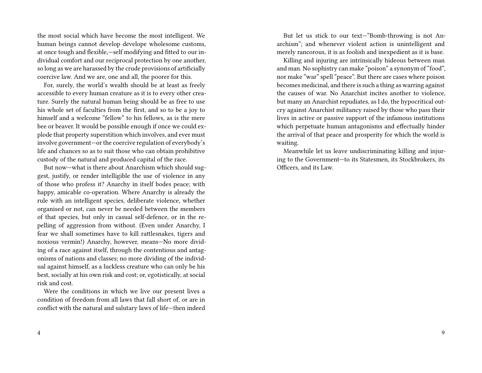the most social which have become the most intelligent. We human beings cannot develop develope wholesome customs, at once tough and flexible,—self modifying and fitted to our individual comfort and our reciprocal protection by one another, so long as we are harassed by the crude provisions of artificially coercive law. And we are, one and all, the poorer for this.

For, surely, the world's wealth should be at least as freely accessible to every human creature as it is to every other creature. Surely the natural human being should be as free to use his whole set of faculties from the first, and so to be a joy to himself and a welcome "fellow" to his fellows, as is the mere bee or beaver. It would be possible enough if once we could explode that property superstition which involves, and ever must involve government—or the coercive regulation of everybody's life and chances so as to suit those who can obtain prohibitive custody of the natural and produced capital of the race.

But now—what is there about Anarchism which should suggest, justify, or render intelligible the use of violence in any of those who profess it? Anarchy in itself bodes peace; with happy, amicable co-operation. Where Anarchy is already the rule with an intelligent species, deliberate violence, whether organised or not, can never be needed between the members of that species, but only in casual self‐defence, or in the repelling of aggression from without. (Even under Anarchy, I fear we shall sometimes have to kill rattlesnakes, tigers and noxious vermin!) Anarchy, however, means—No more dividing of a race against itself, through the contentious and antagonisms of nations and classes; no more dividing of the individual against himself, as a luckless creature who can only be his best, socially at his own risk and cost; or, egotistically, at social risk and cost.

Were the conditions in which we live our present lives a condition of freedom from all laws that fall short of, or are in conflict with the natural and salutary laws of life—then indeed

But let us stick to our text—"Bomb‐throwing is not Anarchism"; and whenever violent action is unintelligent and merely rancorous, it is as foolish and inexpedient as it is base.

Killing and injuring are intrinsically hideous between man and man. No sophistry can make "poison" a synonym of "food", nor make "war" spell "peace". But there are cases where poison becomes medicinal, and there is such a thing as warring against the causes of war. No Anarchist incites another to violence, but many an Anarchist repudiates, as I do, the hypocritical outcry against Anarchist militancy raised by those who pass their lives in active or passive support of the infamous institutions which perpetuate human antagonisms and effectually hinder the arrival of that peace and prosperity for which the world is waiting.

Meanwhile let us leave undiscriminating killing and injuring to the Government—to its Statesmen, its Stockbrokers, its Officers, and its Law.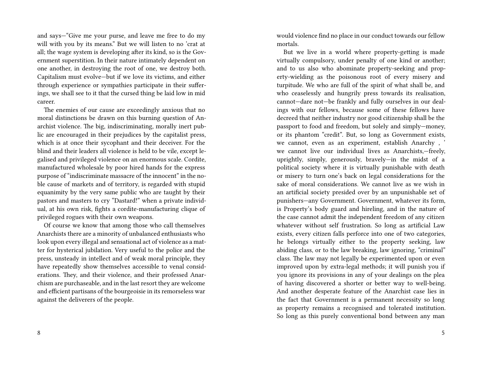and says—"Give me your purse, and leave me free to do my will with you by its means." But we will listen to no 'crat at all; the wage system is developing after its kind, so is the Government superstition. In their nature intimately dependent on one another, in destroying the root of one, we destroy both. Capitalism must evolve—but if we love its victims, and either through experience or sympathies participate in their sufferings, we shall see to it that the cursed thing be laid low in mid career.

The enemies of our cause are exceedingly anxious that no moral distinctions be drawn on this burning question of Anarchist violence. The big, indiscriminating, morally inert public are encouraged in their prejudices by the capitalist press, which is at once their sycophant and their deceiver. For the blind and their leaders all violence is held to be vile, except legalised and privileged violence on an enormous scale. Cordite, manufactured wholesale by poor hired hands for the express purpose of "indiscriminate massacre of the innocent" in the noble cause of markets and of territory, is regarded with stupid equanimity by the very same public who are taught by their pastors and masters to cry "Dastard!" when a private individual, at his own risk, fights a cordite-manufacturing clique of privileged rogues with their own weapons.

Of course we know that among those who call themselves Anarchists there are a minority of unbalanced enthusiasts who look upon every illegal and sensational act of violence as a matter for hysterical jubilation. Very useful to the police and the press, unsteady in intellect and of weak moral principle, they have repeatedly show themselves accessible to venal considerations. They, and their violence, and their professed Anarchism are purchaseable, and in the last resort they are welcome and efficient partisans of the bourgeoisie in its remorseless war against the deliverers of the people.

would violence find no place in our conduct towards our fellow mortals.

But we live in a world where property‐getting is made virtually compulsory, under penalty of one kind or another; and to us also who abominate property‐seeking and property‐wielding as the poisonous root of every misery and turpitude. We who are full of the spirit of what shall be, and who ceaselessly and hungrily press towards its realisation, cannot—dare not—be frankly and fully ourselves in our dealings with our fellows, because some of these fellows have decreed that neither industry nor good citizenship shall be the passport to food and freedom, but solely and simply—money, or its phantom "credit". But, so long as Government exists, we cannot, even as an experiment, establish Anarchy , ' we cannot live our individual lives as Anarchists,—freely, uprightly, simply, generously, bravely—in the midst of a political society where it is virtually punishable with death or misery to turn one's back on legal considerations for the sake of moral considerations. We cannot live as we wish in an artificial society presided over by an unpunishable set of punishers—any Government. Government, whatever its form, is Property's body guard and hireling, and in the nature of the case cannot admit the independent freedom of any citizen whatever without self frustration. So long as artificial Law exists, every citizen falls perforce into one of two categories, he belongs virtually either to the property seeking, law abiding class, or to the law breaking, law ignoring, "criminal" class. The law may not legally be experimented upon or even improved upon by extra-legal methods; it will punish you if you ignore its provisions in any of your dealings on the plea of having discovered a shorter or better way to well‐being. And another desperate feature of the Anarchist case lies in the fact that Government is a permanent necessity so long as property remains a recognised and tolerated institution. So long as this purely conventional bond between any man